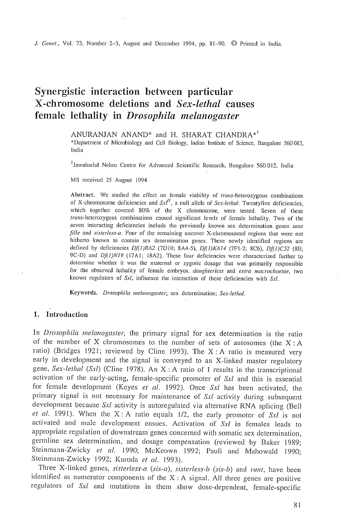*J. Genet.*, Vol. 73, Number 2-3, August and December 1994, pp. 81-90. © Printed in India.

# **Synergistic interaction between particular X,chromosome deletions and** *Sex'lethal* **causes female lethality in** *Drosophila melanogaster*

ANURANJAN ANAND $*$  and H. SHARAT CHANDRA $*$ <sup>†</sup> \*Department of IVlicrobiology and Cull Biology, Indian Institnte of Science, Bangalom 560012, India

<sup>†</sup> Jawaharlal Nehru Centre for Advanced Scientific Research, Bangalore 560012, India

MS received 25 August 1994

Abstract. We studied the effect on female viability of *trans-heterozygous* combinations of X-chromosome deficiencies and  $Sx l<sup>l</sup>$ , a null allele of *Sex-lethal*. Twentyfive deficiencies, which together covered 80% of the X chromosome, were tested. Seven of these trans-heterozygous combinations caused significant levels of female lethality. Two of the seven interacting deficiencies include the previously knowu sex determination genes *sans fille* and *sisterless-a.* Four of the remaining uncover X-chromosomal regions that were not hitherto known to contain sex determination genes. These newly identified regions are defined by deficiencies  $D/(I)RA2$  (7D10; 8A4-5),  $D/(I)KA14$  (7F1-2; 8C6),  $D/(I)C52$  (8E; 9C-D) and *Df(1)N19* (17A1; 18A2). These four deficiencies were characterized further to determine whether it was the maternal or zygotic dosage that was primarily responsible for the observed lethality of female embryos, *daughterless* and *extra macrochaetae,* two known regulators of *Sxl,* influence the interaction of these deficiencies with *Sxl.* 

Keywords. *Drosophila melanogaster;* sex determination; *Sex-lethal.* 

# 1. Introduction

In *Drosophila melanogaster*, the primary signal for sex determination is the ratio of the number of X chromosomes to the number of sets of autosomes (the  $X:A$ ratio) (Bridges 1921; reviewed by Cline 1993). The  $X: A$  ratio is measured very early in development and the signal is conveyed to an X-linked master regulatory gene, *Sex-lethal* (*Sxl*) (Cline 1978). An X : A ratio of 1 results in the transcriptional activation of the early-acting, female-specific promoter of *Sxl* and this is essential for female development (Keyes et al. 1992). Once Sxl has been activated, the primary signal is not necessary for maintenance of Sxl activity during subsequent development because *Sxl* activity is autoregulated via alternative RNA splicing (Bell *et al.* 1991). When the X:A ratio equals l/2, the early promoter of *Sxl* is not activated and male development ensues. Activation of *Sxl* in females leads to appropriate regulation of downstream genes concerned with somatic sex determination, germline sex determination, and dosage compensation (reviewed by Baker 1989; Steinmann-Zwicky *et al.* 1990; McKeown 1992; Pauli and Mahowald 1990; Steinmann-Zwicky 1992; Kuroda *et al.* 1993).

Three X-linked genes, *sisterless-a (sis-a), sisterless-b (sis-b)* and *ruut,* have been identified as numerator components of the  $X: A$  signal. All three genes are positive regulators of *Sxl* and mutations in them show dose-dependent, female-specific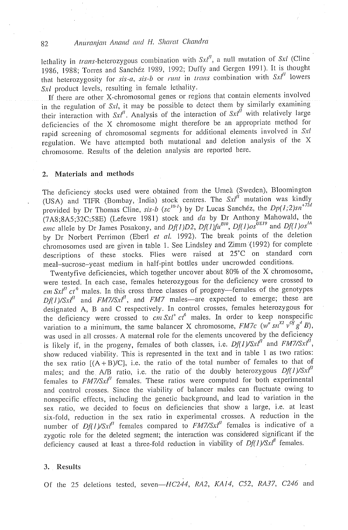# 82 **Anuranjan Anand and H. Sharat Chandra**

lethality in *trans*-heterozygous combination with  $Sx l^{n}$ , a null mutation of *Sxl* (Cline 1986, 1988; Torres and Sanchéz 1989, 1992; Duffy and Gergen 1991). It is thought that heterozygosity for  $sis-a$ ,  $sis-b$  or runt in *trans* combination with  $Sx l<sup>fl</sup>$  lowers *Sxl* product levels, resulting in female lethality.

If there are other X-chromosomal genes or regions that contain elements involved in the regulation of  $Sx_l$ , it may be possible to detect them by similarly examining their interaction with  $Sx^{fl}$ . Analysis of the interaction of  $Sx^{fl}$  with relatively large deficiencies of the X chromosome might therefore be an appropriate method for rapid screening of chromosomal segments for additional elements involved in Sxl regulation. We have attempted both mutational and deletion analysis of the X chromosome. Results of the deletion analysis are reported here.

#### **2. Materials and methods**

The deficiency stocks used were obtained from the Umeà (Sweden), Bloomington (USA) and TIFR (Bombay, India) stock centres. The  $Sx l^{\prime\prime}$  mutation was kindly provided by Dr Thomas Cline,  $sis-b$  ( $sc^{10-1}$ ) by Dr Lucas Sanchéz, the  $Dp(1,2)sn^{+72d}$ (7A8;8A5;32C;58E) (Lefevre 1981) stock and *da* by Dr Anthony Mahowald, the *emc* allele by Dr James Posakony, and *Df(1)D2, Df(1)fu<sup>B10</sup>, Df(1)os*<sup>*UE19*</sup> and *Df(1)os*<sup>*IA*</sup> by Dr Norbert Perrimon (Eberl *et al.* 3992). The break points of the deletion chronaosomes used are given in table 1. See Lindsley and Zimm'(1992) for complete descriptions of these stocks. Flies were raised at 25°C on standard corn meal-sucrose-yeast medium in half-pint bottles under uncrowded conditions.

Twentyfive deficiencies, which together uncover about 80% of the X chromosome, were tested. In each case, females heterozygous for the deficiency were crossed to *cm Sxl<sup>ft</sup>* ct<sup>6</sup> males. In this cross three classes of progeny--females of the genotypes  $Df(1)/SxI^{fl}$  and  $F M 7/SxI^{fl}$ , and  $F M 7$  males—are expected to emerge; these are designated A, B and C respectively. In control crosses, females heterozygous for the deficiency were crossed to  $cm Sx^t$   $ct^6$  males. In order to keep nonspecific variation to a minimum, the same balancer X chromosome, *FM7c* ( $w^{\bar{a}} \, \text{sn}^{\chi_2} \, v^{\bar{O}f} \, g^4 \, B$ ), was used in all crosses. A maternal role for the elements uncovered by the deficiency is likely if, in the progeny, females of both classes, i.e.  $Df(1)/Sx t^{n}$  and  $F M 7/Sx t^{n}$ , show reduced viability. This is represented in the text and in table 1 as two ratios: the sex ratio  $[(A+B)/C]$ , i.e. the ratio of the total number of females to that of males; and the A/B ratio, i.e. the ratio of the doubly heterozygous  $Df(1)/Sx^{n}$ females to  $FM7/Sx^{fl}$  females. These ratios were computed for both experimental and control crosses. Since the viability of balancer males can fluctuate owing to nonspecific effects, including the genetic background, and lead to variation in the sex ratio, we decided to focus on deficiencies that show a large, i.e. at least six-fold, reduction in the sex ratio in experimental crosses. A reduction in the number of  $Df(1)/Sx^{l'}$  females compared to  $F M 7/Sx^{l'}$  females is indicative of a zygotic role for the deleted segment; the interaction was considered significant if the deficiency caused at least a three-fold reduction in viability of  $Df(1)/Sx^{n}$  females.

#### 3. Results

Of the 25 deletions tested, seven-HC244, RA2, KA14, C52, RA37, C246 and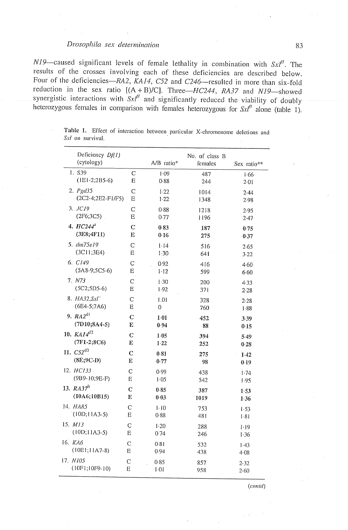#### *Drosophila sex determination* 83

*N19*—caused significant levels of female lethality in combination with  $SxI^{\prime\prime}$ . The results of the crosses involving each of these deficiencies are described below. Four of the *deficiencies-RA2, KA14, C52* and *C246*-resulted in more than six-fold reduction in the sex ratio  $[(A + B)/C]$ . *Three-HC244, RA37 and N19*-showed synergistic interactions with  $Sx l^{\prime\prime}$  and significantly reduced the viability of doubly heterozygous females in comparison with females heterozygous for  $Sx^{n}$  alone (table 1).

Table 1. Effect of interaction between particular X-chromosome deletions and *Sxl on* survival.

| Deficiency Df(1)<br>(cytology) |                | $A/B$ ratio <sup>*</sup> | No. of class B<br>females | Sex ratio** |
|--------------------------------|----------------|--------------------------|---------------------------|-------------|
| 1. S39                         | C              | 1.09                     | 487                       | 1.66        |
| $(IE1-2; 2B5-6)$               | E              | 0.88                     | 244                       | $2-01$      |
| $2.$ $Pgd35$                   | $\mathsf{C}$   | 1.22                     | 1014                      | 2.44        |
| (2C2-4;2E2-F1/F5)              | Ε              | 1.22                     | 1348                      | 2.98        |
| 3. JCI9                        | C              | 0.88                     | 1218                      | 2.95        |
| $(2F6; 3C5)$ .                 | E              | 0.77                     | 1196                      | 2.47        |
| 4. $HC244^{\text{n}}$          | C              | 0.83                     | 187                       | 0.75        |
| (3E8;4F11)                     | E              | 0.16                     | 275                       | 0.37        |
| 5. dm75e19                     | C              | 1.14                     | 516                       | 2.65        |
| (3C11; 3E4)                    | Ε              | 1.30                     | 641                       | 3.22        |
| 6. C149                        | C              | 0.92                     | 416                       | 4.60        |
| $(5A8-9;5C5-6)$                | E              | 1.12                     | 599                       | 6.60        |
| 7. N73                         | C              | 1.30                     | 200                       | 4.33        |
| $(5C2; 5D5-6)$                 | Ε              | 1.92                     | 371                       | 2.28        |
| 8. HA32.SxF                    | C              | 1.01                     | 328                       | 2.28        |
| $(6E4-5;7A6)$                  | E              | 0                        | 760                       | 1.88        |
| 9. $RA2^{d1}$                  | C              | $1-01$                   | 452                       | 3.39        |
| $(7D10; 8A4-5)$                | E              | 0.94                     | 88                        | 0.15        |
| 10. $KAI4^{d2}$                | $\overline{c}$ | 1.05                     | 394                       | 5.49        |
| $(TF1-2; 8C6)$                 | E              | 1.22                     | 252                       | 0.28        |
| 11. C52 <sup>d3</sup>          | $\mathbf C$    | 0.81                     | 275                       | 1.42        |
| $(8E; 9C-D)$                   | Е              | 0.77                     | 98                        | 0.19        |
| 12. HCl33                      | Ċ              | 0.99                     | 438                       | 1.74        |
| $(9B9-10;9E-F)$                | E              | 1.05                     | 542                       | 1.95        |
| 13. $RA37^b$                   | C              | 0.85                     | 387                       | 1.53        |
| (10A6;10B15)                   | E              | 0.03                     | 1019                      | 1.36        |
| 14. HA85                       | C              | 1.10                     | 753                       | 1.53        |
| $(10D;11A3-5)$                 | Е              | 0.88                     | 481                       | 1.81        |
| 15. M13                        | $\mathbf C$    | 1.20                     | 288                       | 1.19        |
| $(10D; 11A3-5)$                | Е              | 0.74                     | 246                       | 1.36        |
| 16. KA6                        | C              | 0.81                     | 532                       | 1.43        |
| $(10E1;11A7-8)$                | Е              | 0.94                     | 438                       | 4.08        |
| 17. N105                       | С              | 0.85                     | 857                       | 2.32        |
| $(10F1;10F9-10)$               | E              | 101                      | 958                       | 2.60        |

*(contd)*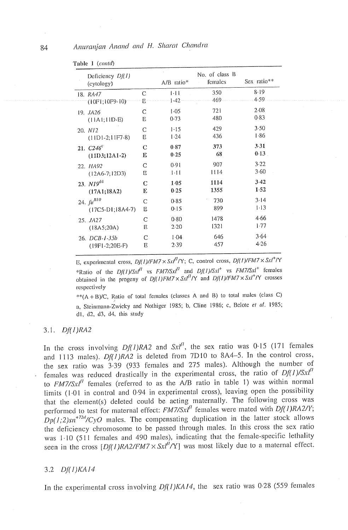| Deficiency $Df(1)$<br>(cytology) |   | $A/B$ ratio* | No. of class B<br>females | Sex ratio** |
|----------------------------------|---|--------------|---------------------------|-------------|
| 18. RA47                         | C | $1-11$       | 350                       | 8.19        |
| $(10F1:10F9-10)$                 | E | $-1.42-$     | 469                       | 4.59        |
| 19. JA26                         | C | 1.05         | 721                       | 2.08        |
| $(11A1;11D-E)$                   | Е | 0.73         | 480                       | 0.83        |
| 20. N12                          | C | $1 - 15$     | 429                       | 3.50        |
| $(11D1-2;11F7-8)$                | Е | 1.24         | 436                       | 1.86        |
| 21. $C246^{\circ}$               | C | 0.87         | 373                       | 3.31        |
| $(11D3; 12A1-2)$                 | Е | 0.25         | 68                        | 0.13        |
| 22. HA92                         | C | 0.91         | 907                       | 3.22        |
| $(12A6-7;12D3)$                  | Е | $1-11$       | 1114                      | 3.60        |
| 23. $NI9^{d4}$                   | C | 1.05         | 1114                      | 3.42        |
| (17A1;18A2)                      | E | 0.25         | 1355                      | 1.52        |
| 24. $fu^{B10}$                   | Ċ | 0.85         | 730                       | 3.14        |
| $(17C5-D1;18A4-7)$               | Е | 0.15         | 899                       | $1-13$      |
| 25. JA27 <sup>-</sup>            | C | 0.80         | 1478                      | 4.66        |
| (18A5;20A)                       | Е | 2.20         | 1321                      | 1.77        |
| 26. DCB-1-35b                    | C | 1.04         | 646                       | 3.64        |
| $(19F1-2;20E-F)$                 | Е | 2.39         | 457                       | 4.26        |
|                                  |   |              |                           |             |

Table 1 *(contd)* 

E, experimental cross, *Df(I)/FM7* × Sxl<sup>fl</sup>/Y; C, control cross, *Df(I)/FM7* × Sxl<sup>+</sup>/Y \*Ralio of the *DJ(l)/Sxl ft* vs *FM7/Sxl fl* and *D./[l)/Sxl +* vs *FM7/Sxl +* females obtained in the progeny of  $Df(I)FM7 \times SxI^{fI}/Y$  and  $Df(I)/FM7 \times SxI^{+}/Y$  crosses respectively

 $**(A + B)/C$ , Ratio of total females (classes A and B) to total males (class C) a, Steinmann-Zwicky and Nothiger 1985; b, Cline 1986; c, Belote *el al.* 1985; dl, d2, d3, d4, this study

#### 3.1. *DJ(1)RA2*

In the cross involving  $Df(I)RA2$  and  $SxI^{II}$ , the sex ratio was 0.15 (171 females and 1113 males).  $Df(I)RA2$  is deleted from 7D10 to 8A4-5. In the control cross, the sex ratio was 3.39 (933 females and 275 males). Although the number of females was reduced drastically in the experimental cross, the ratio of  $Df(1)/Sx^{l}$ to *FM7/Sxl<sup>f1</sup>* females (referred to as the A/B ratio in table 1) was within normal limits  $(1.01$  in control and  $0.94$  in experimental cross), leaving open the possibility that the element(s) deleted could be acting maternally. The following cross was performed to test for maternal effect:  $FM7/Sx^{l'}$  females were mated with  $Df(1)RA2/Y$ ;  $Dp(1,2)sn + \frac{72d}{CyO}$  males. The compensating duplication in the latter stock allows the deficiency chromosome to be passed through males. In this cross the sex ratio was  $1.10$  (511 females and 490 males), indicating that the female-specific lethality seen in the cross  $[Df(1)RA2/FM7 \times Sx^{j}]/Y$ ] was most likely due to a maternal effect.

### *3.2 Qi(1)KAI4*

In the experimental cross involving *Df(1)KA14*, the sex ratio was 0.28 (559 females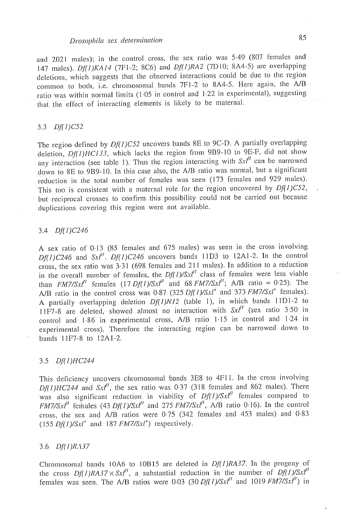# *Drosophila sex determination* 85

and 2021 males); in the control cross, the sex ratio was  $5.49$  (807 females and 147 males). *Df(1)KA14* (7F1-2; 8C6) and *Df(1)RA2* (7D10; 8A4-5) are overlapping deletions, which suggests that the observed interactions could be due to the region common to both, i.e. chromosomal bands 7FI-2 to 8A4-5. Here again, the A/B ratio was within normal limits  $(1.05$  in control and  $1.22$  in experimental), suggesting that the efl'ect of interacting elements is likely to be maternal.

### 3.3 *Df(1)C52*

The region, defined by *Df(1)C52* uncovers bands 8E to 9C-D. A partially overlapping deletion, *Df(I)HCI33*, which lacks the region from 9B9-10 to 9E-F, did not show any interaction (see table 1). Thus the region interacting with  $Sx l''$  can be narrowed down to 8E to 9B9-10. In this case also, the A/B ratio was normal, but a significant reduction in the total number of females was seen (173 females and 929 males). This too is consistent with a maternal role for the region uncovered by *Df(1)C52*, but reciprocal crosses to confirm this possibility could not be carried out because duplications covering this region were not available.

### 3.4 *Df(l)C246*

A sex ratio of 0.13 (85 females and 675 males) was seen in the cross involving  $Df(I)C246$  and  $SxI<sup>II</sup>$ .  $Df(I)C246$  uncovers bands 11D3 to 12A1-2. In the control cross, the sex ratio was  $3.31$  (698 females and 211 males). In addition to a reduction in the overall number of females, the  $Df(1)/Sx^{n}$  class of females were less viable than  $FM7/SxI<sup>f1</sup>$  females  $(17Df(1)/SxI<sup>f1</sup>$  and  $68FM7/SxI<sup>f1</sup>;$  A/B ratio = 0.25). The A/B ratio in the control cross was 0.87 (325 *Df(1)/Sxl<sup>+</sup>* and 373 *FM7/Sxl<sup>+</sup>* females). A partially overlapping deletion *Df(1)N12* (table 1), in which bands 11D1-2 to 11F7-8 are deleted, showed almost no interaction with  $Sx^{f}$  (sex ratio 3.50 in control and 1.86 in experimental cross, A/B ratio 1.15 in control and 1.24 in experimental cross). Therefore the interacting region can be narrowed down to bands 11F7-8 to 12A1-2.

### 3.5 *Df(I)HC244*

This deficiency uncovers chromosomal bands 3E8 to 4F11. In the cross involving *Df(1)HC244* and  $Sx^{jl}$ , the sex ratio was 0.37 (318 females and 862 males). There was also significant reduction in viability of  $Df(1)/SxI^{n}$  females compared to  $FM7/SxI<sup>l</sup>$  females (43  $Df(1)/SxI<sup>l</sup>$  and 275  $FM7/SxI<sup>l</sup>$ , A/B ratio 0.16). In the control cross, the sex and A/B ratios were  $0.75$  (342 females and 453 males) and  $0.83$ (155  $Df(1)/SxI^+$  and 187  $FM7/SxI^+$ ) respectively.

#### 3.6 *Df(1)RA37*

Chromosomal bands 10A6 to 10B15 are deleted in *Df(1)RA37*. In the progeny of the cross  $Df(I)RA37 \times Sx^{fl}$ , a substantial reduction in the number of  $Df(I)/Sx^{fl}$ females was seen. The A/B ratios were 0.03 (30  $Df(1)/Sx^{1}$  and 1019  $FM7/Sx^{1}$ ) in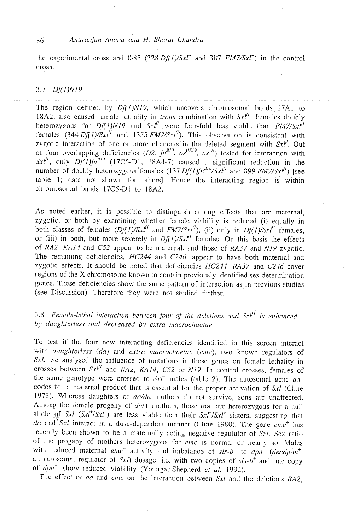the experimental cross and  $0.85$  (328 *Df(1)/Sxl<sup>+</sup>* and 387 *FM7/Sxl<sup>+</sup>*) in the control cross.

## 3.7 *Df(1)ml9*

The region defined by *Df(1)N19*, which uncovers chromosomal bands 17A1 to 18A2, also caused female lethality in *trans* combination with  $Sx^{f}$ . Females doubly heterozygous for  $Df(1)N19$  and  $SxI^{f}$  were four-fold less viable than  $F M7/SxI^{f'}$ females  $(344Df(1)/Sx^{1/1}$  and 1355 *FM7/Sxl<sup>t1</sup>*). This observation is consistent with zygotic interaction of one or more elements in the deleted segment with  $Sx l<sup>n</sup>$ . Out of four overlapping deficiencies  $(D2, fu^{B10}, os^{UE19}, os^{1A})$  tested for interaction with  $Sx^{1}$ , only  $Df(1)fu^{B10}$  (17C5-D1; 18A4-7) caused a significant reduction in the number of doubly heterozygous<sup>\*</sup> females (137 *Df(1)fu<sup>B10</sup>/Sxl<sup>f1</sup>* and 899 *FM7/Sxl<sup>f1</sup>*) [see table l; data not shown for others]. Hence the interacting region is within chromosomal bands 17C5-D1 to 18A2.

As noted earlier, it is possible to distinguish among effects that are maternal, zygotic, or both by examining whether female viability is reduced (i) equally in both classes of females  $(Df(1)/Sx t^{fl})$  and  $F M 7/Sx t^{fl}$ , (ii) only in  $Df(1)/Sx t^{fl}$  females, or (iii) in both, but more severely in  $Df(I)/SxI^{II}$  females. On this basis the effects of *RA2, KA14* and *C52* appear to be maternal, and those of *RA37* and *NI9* zygotic. The remaining deficiencies, *HC244* and *C246,* appear to have both maternal and zygotic effects. It should be noted that deficiencies *HC244, RA37* and *C246* cover regions of the X chromosome known to contain previously identified sex determination genes. These deficiencies show the same pattern of interaction as in previous studies (see Discussion). Therefore they were not studied further.

# 3.8 *Female-lethal interaction between four qf the deletions and Sx117 is enhanced*  by daughterless and decreased by extra macrochaetae

To test if the four new interacting deficiencies identified in this screen interact with *daughterless (da)* and *extra macrochaetae* (emc), two known regulators of *Sxl*, we analysed the influence of mutations in these genes on female lethality in crosses between *Sxl<sup>f1</sup>* and *RA2, KA14, C52* or *N19*. In control crosses, females of the same genotype were crossed to  $Sx^1$  males (table 2). The autosomal gene  $da^+$ codes for a maternal product tbat is essential for the proper activation of *Sxl* (Cline t978). Whereas daughters of *da/da* mothers do not survive, sons are unaffected. Among the female progeny of  $da/$ + mothers, those that are heterozygous for a null allele of *Sxl* (Sxl<sup>+</sup>/Sxl<sup>-</sup>) are less viable than their *Sxl<sup>+</sup>/Sxl<sup>+</sup>* sisters, suggesting that *da* and *Sxl* interact in a dose-dependent manner (Cline 1980). The gene *emc*<sup>+</sup> has recently been shown to be a maternally acting negative regulator of *Sxl.* Sex ratio of the progeny of mothers heterozygous for *emc* is normal or nearly so. Males with reduced maternal  $emc^+$  activity and imbalance of  $sis-b^+$  to  $dpn^+$  (deadpan<sup>+</sup>, an autosomal regulator of  $Sxi$ ) dosage, i.e. with two copies of  $sis-b<sup>+</sup>$  and one copy *of dpn +,* sbow reduced viability (Younger-Shepherd *et al.* 1992).

The effect of *da* and *emc* on the interaction between *Sxl* and the deletions *RA2,*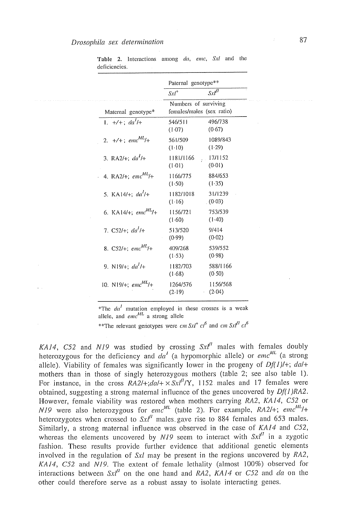| Paternal genotype $**$                            |            |  |
|---------------------------------------------------|------------|--|
| $Sxt^+$                                           | $Sxt^{fl}$ |  |
| Numbers of surviving<br>females/males (sex ratio) |            |  |
| 546/511                                           | 496/738    |  |
| (1.07)                                            | (0.67)     |  |
| 561/509                                           | 1089/843   |  |
| $(1-10)$                                          | (1.29)     |  |
| 1181/1166                                         | 17/1152    |  |
| (1.01)                                            | (0.01)     |  |
| 1166/775                                          | 884/653    |  |
| (1.50)                                            | (1.35)     |  |
| 1182/1018                                         | 31/1239    |  |
| (1.16)                                            | (0.03)     |  |
| 1156/721                                          | 753/539    |  |
| (1.60)                                            | (1.40)     |  |
| 513/520                                           | 9/414      |  |
| (0.99)                                            | (0.02)     |  |
| 409/268                                           | 539/552    |  |
| (1.53)                                            | (0.98)     |  |
| 1182/703                                          | 588/1166   |  |
| (1.68)                                            | (0.50)     |  |
| 1264/576                                          | 1156/568   |  |
| (2.19)                                            | (2.04)     |  |
|                                                   |            |  |

Table 2. Interactions among *da, emc, Sxl and*  the deficiencies.

\*The  $da<sup>T</sup>$  mutation employed in these crosses is a weak allele, and *emc<sup>ML</sup>* a strong allele

\*\*The relevant genotypes were  $cm Sx^{t}$   $ct^6$  and  $cm Sx^{t}$   $ct^6$ 

*KA14, C52* and *N19* was studied by crossing  $Sx^{l}$  males with females doubly heterozygous for the deficiency and  $da'$  (a hypomorphic allele) or  $emc<sup>ML</sup>$  (a strong allele). Viability of females was significantly lower in the progeny of *Df(1)/+; da/+*  mothers than in those of singly heterozygous mothers (table 2; see also table 1). For instance, in the cross  $RA2/+; dal + \times Sx^{1/7}/Y$ , 1152 males and 17 females were obtained, suggesting a strong maternal influence of the genes uncovered by *Df(1)RA2.*  However, female viability was restored when mothers carrying *RA2, KA14, C52* or  $N$ *I9* were also heterozygous for *emc*<sup>ML</sup> (table 2). For example,  $R$ *A2*/+; *emc*<sup>ML</sup>/+ heterozygotes when crossed to  $Sx^{jl'}$  males gave rise to 884 females and 653 males. Similarly, a strong maternal influence was observed in the case of *KA14* and *C52*, whereas the elements uncovered by  $N/9$  seem to interact with  $Sx^{t}$  in a zygotic fashion. These results provide further evidence that additional genetic elements involved in the regulation of  $Sxi$  may be present in the regions uncovered by  $RA2$ , *KA14, C52* and *N19.* The extent of female lethality (ahnost 100%) observed for interactions between  $Sx l^{\prime\prime}$  on the one hand and *RA2*, *KA14* or *C52* and da on the other could therefore serve as a robust assay to isolate interacting genes.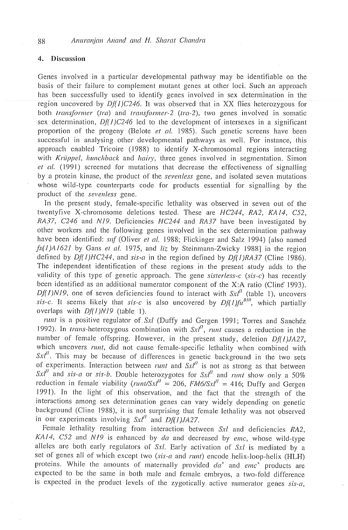# **4. Discussion**

Genes involved in a particular developmental pathway may be identifiable on the basis of their failure to complement mutant genes at other loci. Such an approach has been successfully used to identify genes involved in sex determination in the region uncovered by  $Df(I)C246$ . It was observed that in XX flies heterozygous for both *transibrmer (tra)* and *transJbrmer-2 (tra-2),* two genes involved in somatic sex determination, *Df(1)C246* led to the development of intersexes in a significant proportion of the progeny (Belote *et al.* t985). Such genetic screens have been successful in analysing other developmental pathways as well. For instance, this approach enabled Tricoire (1988) to identify X-chromosomal regions interacting with *Kriippel, hunchback* and *hairy*, three genes involved in segmentation. Simon *et al.* (1991) screened for mutations that decrease the effectiveness of signalling by a protein kinase, the product of the *sevenless* gene, and isolated seven mutations whose wild-type counterparts code for products essential for signalling by the product of the *sevenless* gene.

In the present study, female-specific lethality was observed in seven out of the twentyfive X-chromosome deletions tested. These are *HC244, RA2, KA14, C52, RA37, C246* and *N19.* Deficiencies *HC244* and *RA37* have been investigated by other workers and the following genes involved in the sex determination pathway have been identified: *snf* (Oliver *et al.* 1988; Flickinger and Salz 1994) [also named *fs(1)A1621* by Gans *et al.* 1975, and *liz* by Steinmann-Zwicky 1988] in the region defined by *Df(I)HC244,* and *sis-a* in the region defined by *Df(1)RA37* (Cline 1986). The independent identification of these regions in the present study adds to the validity of this type of genetic approach. The gene *sisterless-c* (sis-c) has recently been identified as an additional numerator component of the  $X:A$  ratio (Cline 1993). *Df(1)N19*, one of seven deficiencies found to interact with  $Sx^{f}$  (table 1), uncovers *sis-c.* It seems likely that *sis-c* is also uncovered by  $Df(1) f u^{\hat{B}i\hat{\theta}}$ , which partially overlaps with *Df(1)N19* (table 1).

*runt* is a positive regulator of *Sxl* (Duffy and Gergen 1991; Torres and Sanchéz 1992). In *trans*-heterozygous combination with *Sxl<sup>f1</sup>*, *runt* causes a reduction in the number of female offspring. However, in the present study, deletion *Df(1)JA27*, which uncovers *runt*, did not cause female-specific lethality when combined with  $Sx^{fl}$ . This may be because of differences in genetic background in the two sets of experiments. Interaction between *runt* and  $Sx l^{\prime\prime}$  is not as strong as that between  $Sx^{t}$ <sup>*a*</sup> and *sis-a* or *sis-b*. Double heterozygotes for  $Sx^{t}$ <sup>*a*</sup> and *runt* show only a 50% reduction in female viability (runt/Sxl<sup> $n$ </sup> = 206, *FM6/Sxl*<sup> $n$ </sup> = 416; Duffy and Gergen 1991). In the light of this observation, and the fact that the strength of the interactions among sex determination genes can vary widely depending on genetic background (Cline 1988), it is not surprising that female lethality was not observed in our experiments involving  $Sx^{l'}$  and  $Df(1)JA27$ .

Female lethality resulting from interaction between *Sxl* and deficiencies *RA2*, KA14, C52 and N19 is enhanced by *da* and decreased by *emc*, whose wild-type alleles are both early regulators of *Sxl.* Early activation of *Sxl* is mediated by a set of genes all of which except two *(sis-a* and runt) encode helix-loop-helix (HLH) proteins. While the amounts of maternally provided  $da^*$  and emc<sup>+</sup> products are expected to be the same in both male and female embryos, a two-fold difference is expected in the product levels of the zygotically active numerator genes *sis-a*,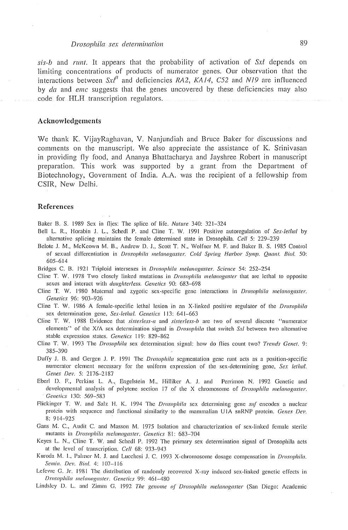# *Drosophila sex determination* 89

*sis-b* and *runt.* It appears that the probability of activation of *Sxl* depends on limiting concentrations of products of numerator genes. Our obserwttion that the interactions between  $Sx^{fl}$  and deficiencies *RA2, KA14, C52* and *N19* are influenced by *da* and *emc* suggests that the genes uncovered by these deficiencies may also code for HLH transcription regulators.

#### Acknowledgements

We thank K. VijayRaghavan, V. Nanjundiah and Bruce Baker for discussions and comments on the manuscript. We also appreciate the assistance of K. Srinivasan in providing fly food, and Ananya Bhattacharya and Jayshree Robert in manuscript preparation. This work was supported by a grant from the Department of Biotechnology, Government of India. A.A. was the recipient of a fellowship from CSIR, New Delhi.

#### **References**

Baker B. S. 1989 Sex in flies: The splice of life. *Nature* 340: 321-324

- Bell L. P,., Horabin J. L., Schedl P. and Cline T. W. 1991 Positive autoregulation of *Sex-lethal* by alternative splicing maintains the female determined state in Drosophila. *Cell* 5:229=239
- Belote J. M., McKeown M. B., Andrew D. J., Scott T. N., Wolfner M. F. and Baker B. S. 1985 Control of sexual differentiation in *Drosophila melanogaster. Cold Spring Harbor Syrup. Quant. Biol.* 50: 605-614
- Bridges C. B. 1921 Triploid intersexes in *Drosophila melanogaster. Science* 54:252-254
- Cline T. W. 1978 Two closely linked mutations in *Drosophila melanogaster* that are lethal to opposite sexes and interact with *daughterless*. Genetics 90: 683-698
- Cline T. W. 1980 Maternal and zygotic sex-specific gene interactions in *Drosophila melanogaster. Genetics* 96:903-926
- Cline T. W. 1986 A female-specific lethal lesion in an X-linked positive regulator of the *Drosophila*  sex determination gene, Sex-lethal. Genetics 113: 641-663
- C[ine T. W. 1988 Evidence that *sisterless-a* and *sisterless-b* are two of several discrete "numerator elements" of the X/A sex delermination signal in *Drosophila* that switch *Sxl* between two alternative stable expression states. *Genetics* 119: 829-862
- Cline T. W. 1993 The *Drosophila* sex determination signal: how do flies count two? *Trends Genet.* 9: 385-390
- Duffy J. B. and Gergen J. P. 1991 The *Drosophila* segmentation gene runt acts as a position-specific numerator element necessary for the uniform expression of the sex-determining gene, *Sex lethal. Genes Dev.* 5:2176-2187
- Eberl D. F,, Perkins L. A., Engelstein M., Hilliker A. J. and Pen'imon N. 1992 Genetic and developmental analysis of polytene section 17 of the X chromosome of *Drosophila melanogaster. Genetics* 130:569-583
- Flickinger T. W. and Salz H. K. 1994 The *Drosophila* sex determining gene *suf* encodes a nuclear protein with sequence and functional similarity to the mammalian U1A snRNP protein. *Genes Dev.* 8:914-925
- Gans M. C., Audit C. and Masson M. 1975 Isolation and characterization of sex-linked female sterile mutants in *Drosophila melanogaster. Genetics* 81: 683-704
- Keyes L. N., Cline T. W. and Schedl P. 1992 The primary sex determination signal of Drosophila acts at the level of transcription. *Cell* 68:933-943
- Kuroda M. I., Palmer M. J. and Lucchesi J. C. 1993 X-chromosome dosage compensation in *Drosophila*. *Semin. Dev. Biol.* 4:I07-116
- Lefevre G. Jr. 1981 The distribution of randomly recovered X-ray induced sex-linked genetic effects in *Drosophila mehmogaster. Genetics* 99:461-480
- Lindsley D. L. and Zimm G. 1992 *The genome of Drosophila melanogaster* (San Diego: Academic